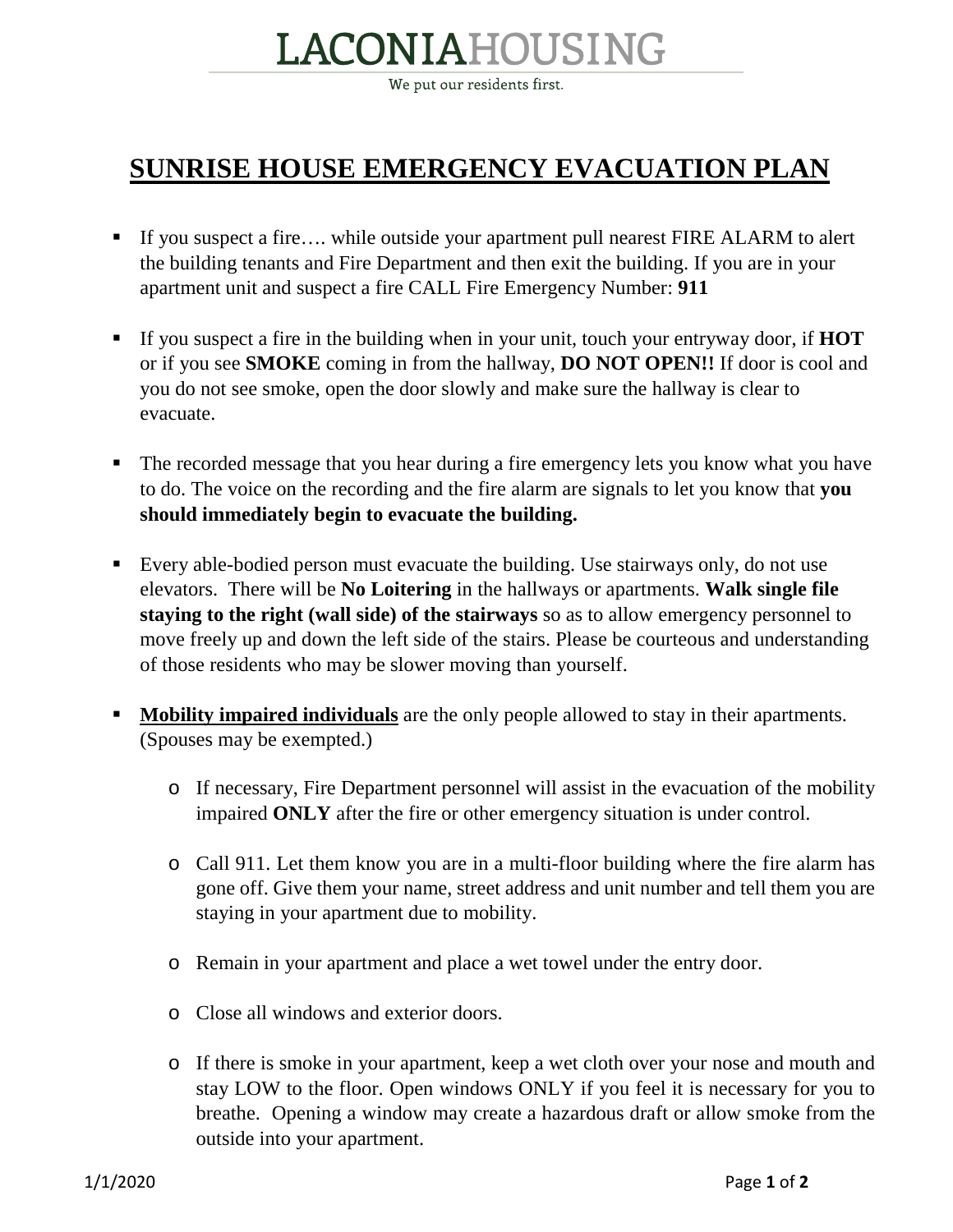## LACONIAHOUSING

We put our residents first.

## **SUNRISE HOUSE EMERGENCY EVACUATION PLAN**

- If you suspect a fire…. while outside your apartment pull nearest FIRE ALARM to alert the building tenants and Fire Department and then exit the building. If you are in your apartment unit and suspect a fire CALL Fire Emergency Number: **911**
- If you suspect a fire in the building when in your unit, touch your entryway door, if **HOT** or if you see **SMOKE** coming in from the hallway, **DO NOT OPEN!!** If door is cool and you do not see smoke, open the door slowly and make sure the hallway is clear to evacuate.
- The recorded message that you hear during a fire emergency lets you know what you have to do. The voice on the recording and the fire alarm are signals to let you know that **you should immediately begin to evacuate the building.**
- Every able-bodied person must evacuate the building. Use stairways only, do not use elevators. There will be **No Loitering** in the hallways or apartments. **Walk single file staying to the right (wall side) of the stairways** so as to allow emergency personnel to move freely up and down the left side of the stairs. Please be courteous and understanding of those residents who may be slower moving than yourself.
- **Mobility impaired individuals** are the only people allowed to stay in their apartments. (Spouses may be exempted.)
	- o If necessary, Fire Department personnel will assist in the evacuation of the mobility impaired **ONLY** after the fire or other emergency situation is under control.
	- o Call 911. Let them know you are in a multi-floor building where the fire alarm has gone off. Give them your name, street address and unit number and tell them you are staying in your apartment due to mobility.
	- o Remain in your apartment and place a wet towel under the entry door.
	- o Close all windows and exterior doors.
	- o If there is smoke in your apartment, keep a wet cloth over your nose and mouth and stay LOW to the floor. Open windows ONLY if you feel it is necessary for you to breathe. Opening a window may create a hazardous draft or allow smoke from the outside into your apartment.